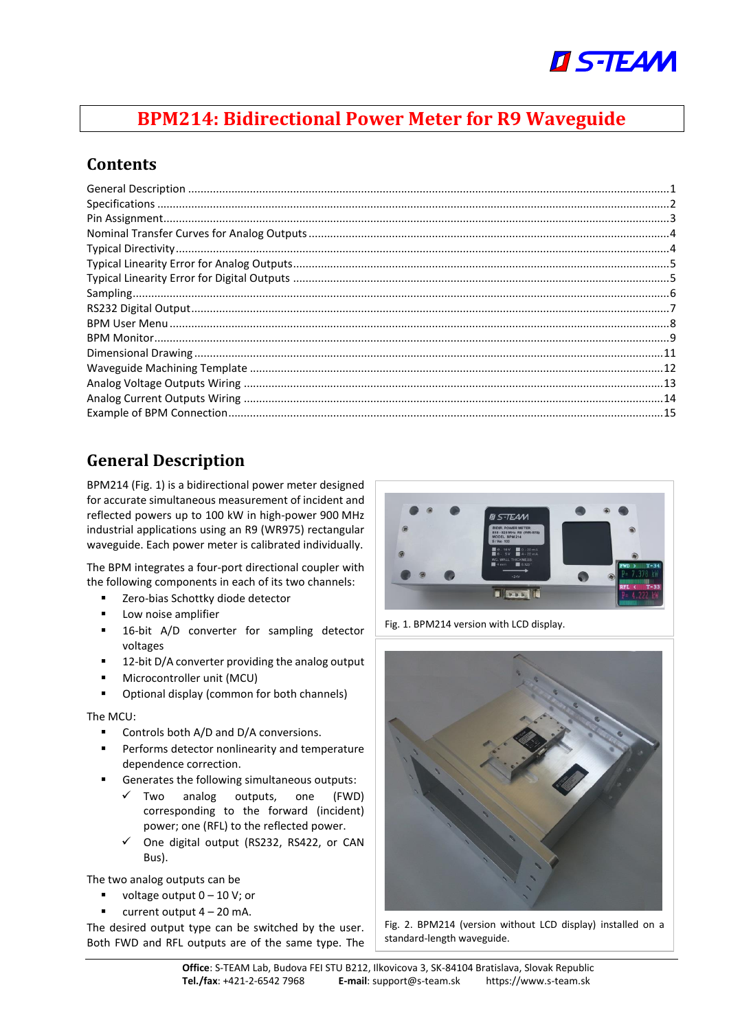

## **BPM214: Bidirectional Power Meter for R9 Waveguide**

#### **Contents**

## <span id="page-0-0"></span>**General Description**

BPM214 [\(Fig. 1\)](#page-0-1) is a bidirectional power meter designed for accurate simultaneous measurement of incident and reflected powers up to 100 kW in high-power 900 MHz industrial applications using an R9 (WR975) rectangular waveguide. Each power meter is calibrated individually.

The BPM integrates a four-port directional coupler with the following components in each of its two channels:

- Zero-bias Schottky diode detector
- Low noise amplifier
- 16-bit A/D converter for sampling detector voltages
- 12-bit D/A converter providing the analog output
- Microcontroller unit (MCU)
- Optional display (common for both channels)

#### The MCU:

- Controls both A/D and D/A conversions.
- Performs detector nonlinearity and temperature dependence correction.
- Generates the following simultaneous outputs:
	- $\checkmark$  Two analog outputs, one (FWD) corresponding to the forward (incident) power; one (RFL) to the reflected power.
	- ✓ One digital output (RS232, RS422, or CAN Bus).

The two analog outputs can be

- voltage output  $0 10$  V; or
- $\blacksquare$  current output  $4 20$  mA.

The desired output type can be switched by the user. Both FWD and RFL outputs are of the same type. The



Fig. 1. BPM214 version with LCD display.

<span id="page-0-2"></span><span id="page-0-1"></span>

Fig. 2. BPM214 (version without LCD display) installed on a standard-length waveguide.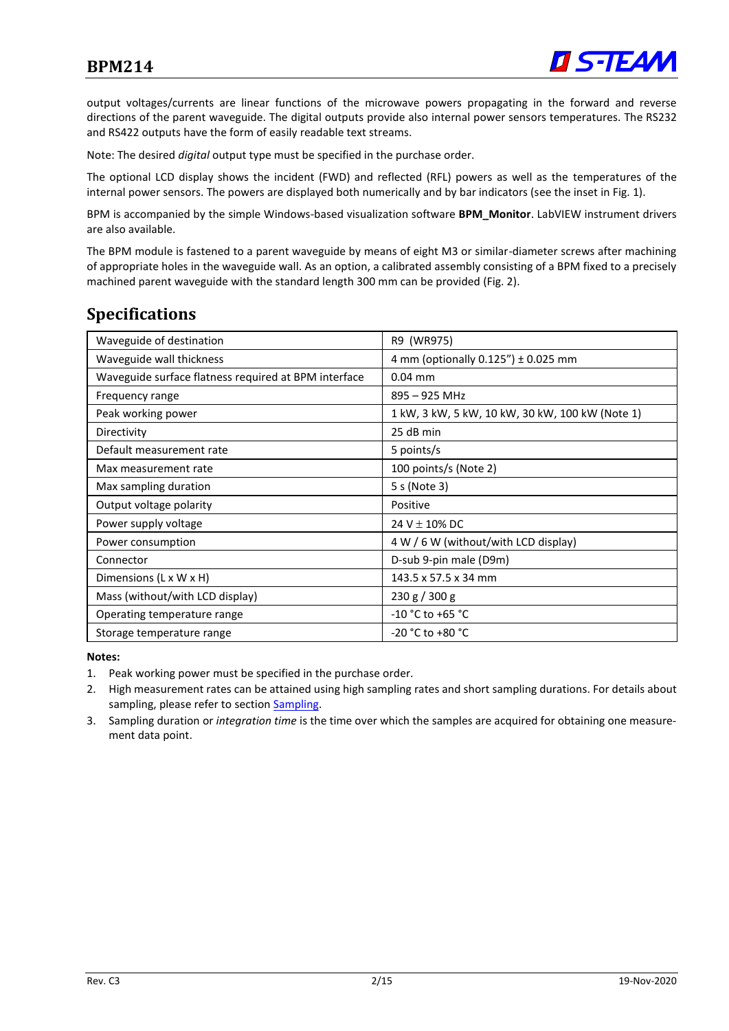

output voltages/currents are linear functions of the microwave powers propagating in the forward and reverse directions of the parent waveguide. The digital outputs provide also internal power sensors temperatures. The RS232 and RS422 outputs have the form of easily readable text streams.

Note: The desired *digital* output type must be specified in the purchase order.

The optional LCD display shows the incident (FWD) and reflected (RFL) powers as well as the temperatures of the internal power sensors. The powers are displayed both numerically and by bar indicators (see the inset in [Fig. 1\)](#page-0-1).

BPM is accompanied by the simple Windows-based visualization software **BPM\_Monitor**. LabVIEW instrument drivers are also available.

The BPM module is fastened to a parent waveguide by means of eight M3 or similar-diameter screws after machining of appropriate holes in the waveguide wall. As an option, a calibrated assembly consisting of a BPM fixed to a precisely machined parent waveguide with the standard length 300 mm can be provided [\(Fig. 2\)](#page-0-2).

#### <span id="page-1-0"></span>**Specifications**

| Waveguide of destination                             | R9 (WR975)                                      |
|------------------------------------------------------|-------------------------------------------------|
| Waveguide wall thickness                             | 4 mm (optionally $0.125''$ ) ± 0.025 mm         |
| Waveguide surface flatness required at BPM interface | $0.04$ mm                                       |
| Frequency range                                      | 895 - 925 MHz                                   |
| Peak working power                                   | 1 kW, 3 kW, 5 kW, 10 kW, 30 kW, 100 kW (Note 1) |
| Directivity                                          | 25 dB min                                       |
| Default measurement rate                             | 5 points/s                                      |
| Max measurement rate                                 | 100 points/s (Note 2)                           |
| Max sampling duration                                | 5 s (Note 3)                                    |
| Output voltage polarity                              | Positive                                        |
| Power supply voltage                                 | 24 V $\pm$ 10% DC                               |
| Power consumption                                    | 4 W / 6 W (without/with LCD display)            |
| Connector                                            | D-sub 9-pin male (D9m)                          |
| Dimensions $(L \times W \times H)$                   | 143.5 x 57.5 x 34 mm                            |
| Mass (without/with LCD display)                      | 230 g / 300 g                                   |
| Operating temperature range                          | $-10 °C$ to $+65 °C$                            |
| Storage temperature range                            | $-20 °C$ to $+80 °C$                            |

#### **Notes:**

- 1. Peak working power must be specified in the purchase order.
- 2. High measurement rates can be attained using high sampling rates and short sampling durations. For details about sampling, please refer to sectio[n Sampling.](#page-4-2)
- 3. Sampling duration or *integration time* is the time over which the samples are acquired for obtaining one measurement data point.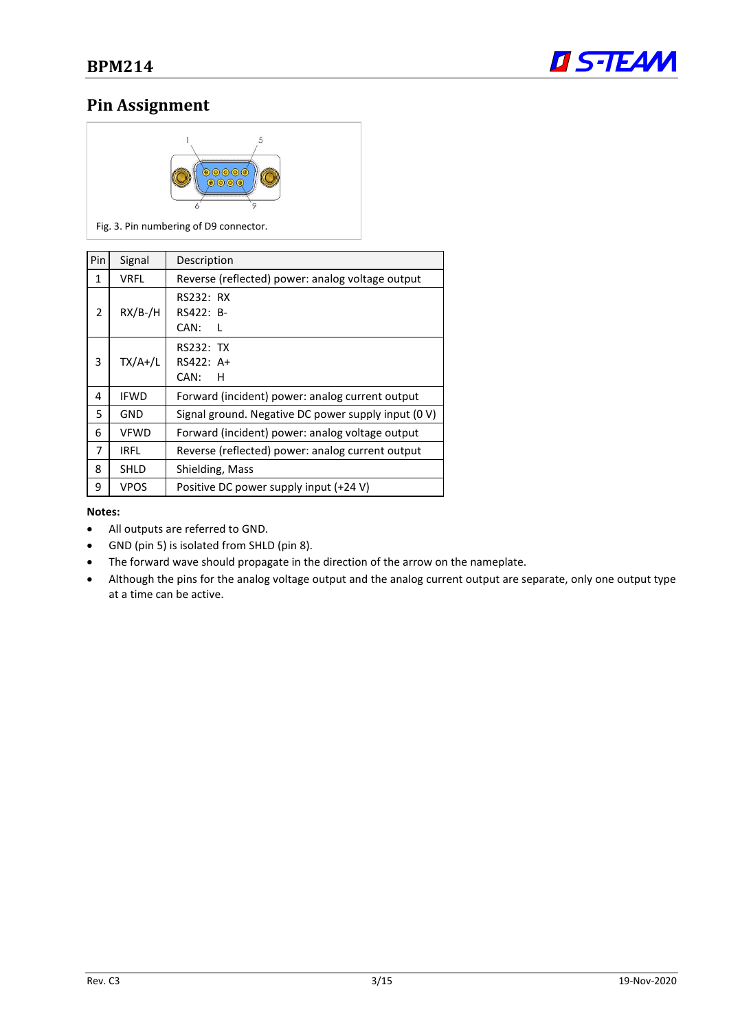

### <span id="page-2-0"></span>**Pin Assignment**



Fig. 3. Pin numbering of D9 connector.

| Pin            | Signal      | Description                                         |
|----------------|-------------|-----------------------------------------------------|
| 1              | <b>VRFL</b> | Reverse (reflected) power: analog voltage output    |
| 2              | $RX/B$ -/H  | RS232: RX<br>RS422: B-<br>CAN:                      |
| 3              | $TX/A+/L$   | RS232: TX<br>RS422: A+<br>CAN:<br>н                 |
| 4              | <b>IFWD</b> | Forward (incident) power: analog current output     |
| 5              | <b>GND</b>  | Signal ground. Negative DC power supply input (0 V) |
| 6              | <b>VFWD</b> | Forward (incident) power: analog voltage output     |
| $\overline{7}$ | <b>IRFL</b> | Reverse (reflected) power: analog current output    |
| 8              | SHLD        | Shielding, Mass                                     |
| 9              | <b>VPOS</b> | Positive DC power supply input (+24 V)              |

#### **Notes:**

- All outputs are referred to GND.
- GND (pin 5) is isolated from SHLD (pin 8).
- The forward wave should propagate in the direction of the arrow on the nameplate.
- Although the pins for the analog voltage output and the analog current output are separate, only one output type at a time can be active.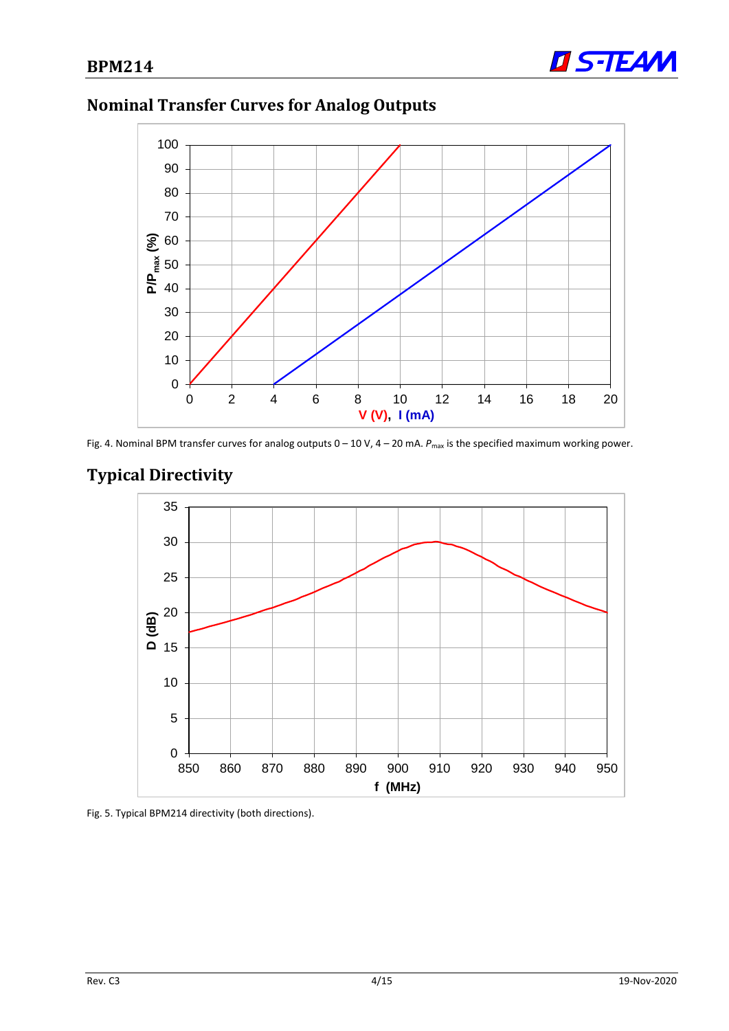

## <span id="page-3-0"></span>**Nominal Transfer Curves for Analog Outputs**



Fig. 4. Nominal BPM transfer curves for analog outputs  $0-10$  V,  $4-20$  mA.  $P_{\text{max}}$  is the specified maximum working power.

## <span id="page-3-1"></span>**Typical Directivity**



Fig. 5. Typical BPM214 directivity (both directions).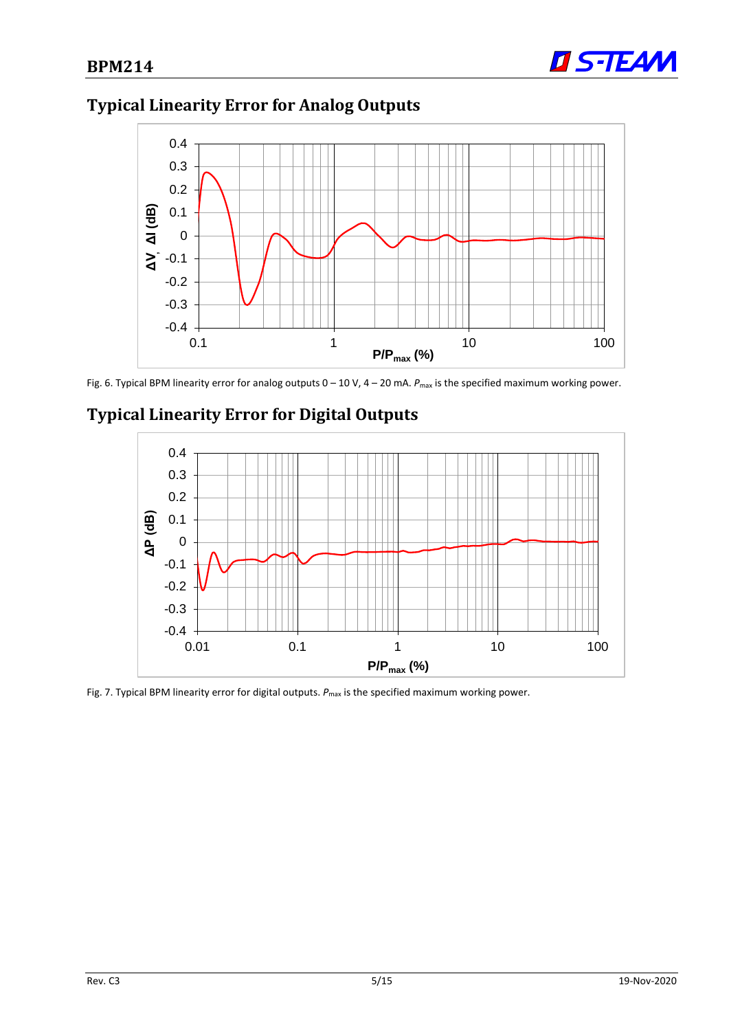

# <span id="page-4-0"></span>**Typical Linearity Error for Analog Outputs**



Fig. 6. Typical BPM linearity error for analog outputs  $0 - 10$  V,  $4 - 20$  mA.  $P_{\text{max}}$  is the specified maximum working power.



## <span id="page-4-1"></span>**Typical Linearity Error for Digital Outputs**

<span id="page-4-2"></span>Fig. 7. Typical BPM linearity error for digital outputs.  $P_{\text{max}}$  is the specified maximum working power.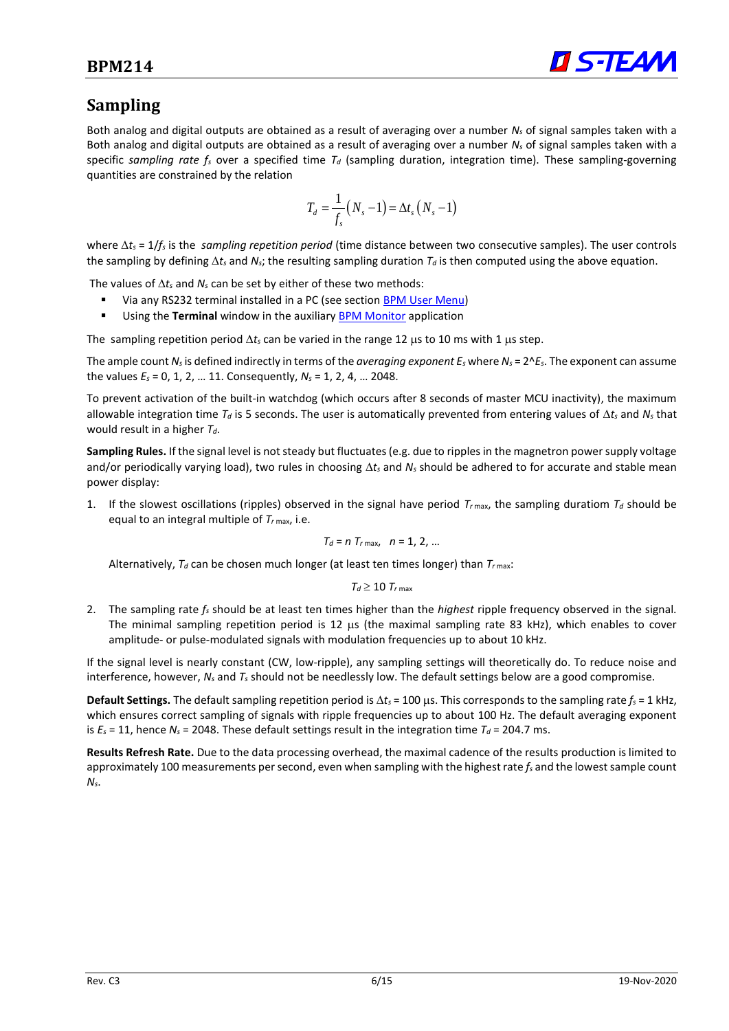

#### <span id="page-5-0"></span>**Sampling**

Both analog and digital outputs are obtained as a result of averaging over a number *N<sup>s</sup>* of signal samples taken with a Both analog and digital outputs are obtained as a result of averaging over a number *N<sup>s</sup>* of signal samples taken with a specific *sampling rate f<sup>s</sup>* over a specified time *T<sup>d</sup>* (sampling duration, integration time). These sampling-governing quantities are constrained by the relation

$$
T_d = \frac{1}{f_s}(N_s - 1) = \Delta t_s (N_s - 1)
$$

where  $\Delta t_s = 1/f_s$  is the *sampling repetition period* (time distance between two consecutive samples). The user controls the sampling by defining  $\Delta t_s$  and  $N_s$ ; the resulting sampling duration  $T_d$  is then computed using the above equation.

The values of  $\Delta t_s$  and  $N_s$  can be set by either of these two methods:

- Via any RS232 terminal installed in a PC (see section [BPM User Menu\)](#page-6-1)
- Using the **Terminal** window in the auxiliary [BPM Monitor](#page-8-0) application

The sampling repetition period  $\Delta t_s$  can be varied in the range 12  $\mu$ s to 10 ms with 1  $\mu$ s step.

The ample count  $N_s$  is defined indirectly in terms of the *averaging exponent E<sub>s</sub>* where  $N_s = 2^k E_s$ . The exponent can assume the values *E<sup>s</sup>* = 0, 1, 2, … 11. Consequently, *N<sup>s</sup>* = 1, 2, 4, … 2048.

To prevent activation of the built-in watchdog (which occurs after 8 seconds of master MCU inactivity), the maximum allowable integration time *T<sup>d</sup>* is 5 seconds. The user is automatically prevented from entering values of *t<sup>s</sup>* and *N<sup>s</sup>* that would result in a higher *Td*.

**Sampling Rules.** If the signal level is not steady but fluctuates (e.g. due to ripples in the magnetron power supply voltage and/or periodically varying load), two rules in choosing  $\Delta t_s$  and  $N_s$  should be adhered to for accurate and stable mean power display:

1. If the slowest oscillations (ripples) observed in the signal have period  $T_{r \text{max}}$ , the sampling duratiom  $T_d$  should be equal to an integral multiple of *T<sup>r</sup>* max, i.e.

$$
T_d=n\ T_{r\max},\quad n=1,\ 2,\ \ldots
$$

Alternatively, *T<sup>d</sup>* can be chosen much longer (at least ten times longer) than *T<sup>r</sup>* max:

 $T_d \geq 10$   $T_{r\text{ max}}$ 

2. The sampling rate *f<sup>s</sup>* should be at least ten times higher than the *highest* ripple frequency observed in the signal. The minimal sampling repetition period is 12 us (the maximal sampling rate 83 kHz), which enables to cover amplitude- or pulse-modulated signals with modulation frequencies up to about 10 kHz.

If the signal level is nearly constant (CW, low-ripple), any sampling settings will theoretically do. To reduce noise and interference, however, *N<sup>s</sup>* and *T<sup>s</sup>* should not be needlessly low. The default settings below are a good compromise.

**Default Settings.** The default sampling repetition period is  $\Delta t_s = 100 \,\mu s$ . This corresponds to the sampling rate  $f_s = 1 \,\text{kHz}$ , which ensures correct sampling of signals with ripple frequencies up to about 100 Hz. The default averaging exponent is  $E_s = 11$ , hence  $N_s = 2048$ . These default settings result in the integration time  $T_d = 204.7$  ms.

**Results Refresh Rate.** Due to the data processing overhead, the maximal cadence of the results production is limited to approximately 100 measurements per second, even when sampling with the highest rate *f<sup>s</sup>* and the lowest sample count *Ns*.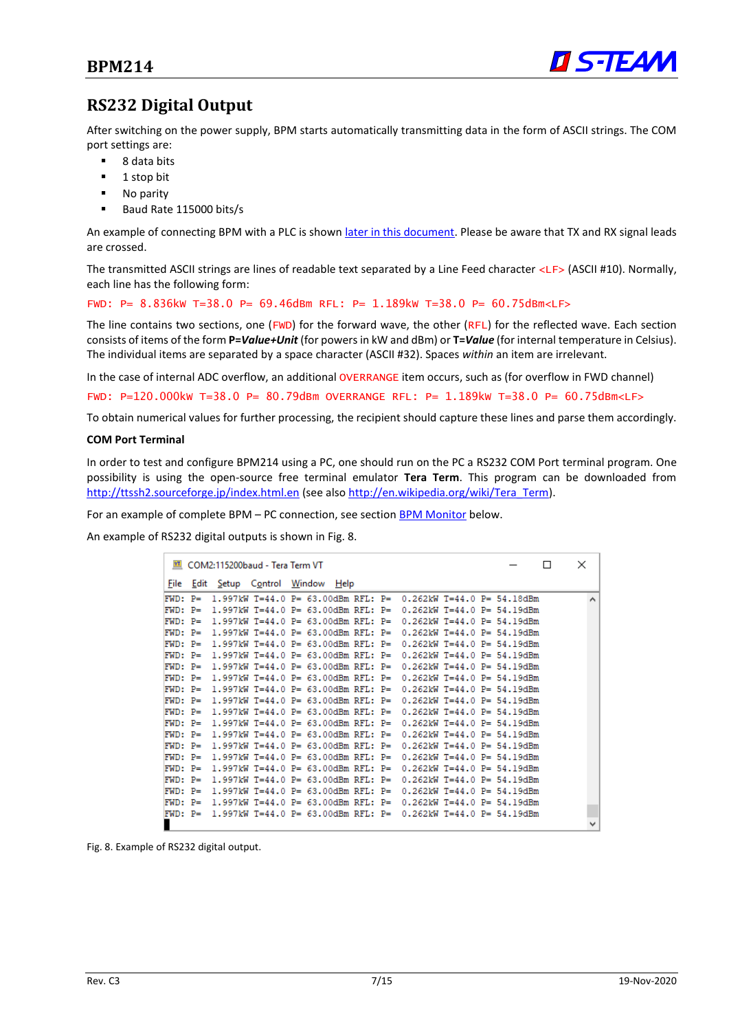

### <span id="page-6-0"></span>**RS232 Digital Output**

After switching on the power supply, BPM starts automatically transmitting data in the form of ASCII strings. The COM port settings are:

- 8 data bits
- 1 stop bit
- No parity
- Baud Rate 115000 bits/s

An example of connecting BPM with a PLC is shown later [in this document.](#page-14-0) Please be aware that TX and RX signal leads are crossed.

The transmitted ASCII strings are lines of readable text separated by a Line Feed character <LF> (ASCII #10). Normally, each line has the following form:

FWD: P= 8.836kW T=38.0 P= 69.46dBm RFL: P= 1.189kW T=38.0 P= 60.75dBm<LF>

The line contains two sections, one (FWD) for the forward wave, the other (RFL) for the reflected wave. Each section consists of items of the form **P=***Value+Unit* (for powers in kW and dBm) or **T=***Value* (for internal temperature in Celsius). The individual items are separated by a space character (ASCII #32). Spaces *within* an item are irrelevant.

In the case of internal ADC overflow, an additional OVERRANGE item occurs, such as (for overflow in FWD channel)

FWD: P=120.000kW T=38.0 P= 80.79dBm OVERRANGE RFL: P= 1.189kW T=38.0 P= 60.75dBm<LF>

To obtain numerical values for further processing, the recipient should capture these lines and parse them accordingly.

#### <span id="page-6-3"></span>**COM Port Terminal**

In order to test and configure BPM214 using a PC, one should run on the PC a RS232 COM Port terminal program. One possibility is using the open-source free terminal emulator **Tera Term**. This program can be downloaded from <http://ttssh2.sourceforge.jp/index.html.en> (see als[o http://en.wikipedia.org/wiki/Tera\\_Term\)](http://en.wikipedia.org/wiki/Tera_Term).

For an example of complete BPM – PC connection, see section **BPM Monitor** below.

An example of RS232 digital outputs is shown i[n Fig. 8.](#page-6-2)

|            |            | COM2:115200baud - Tera Term VT      |  |  |  |                                                                       |  | П | × |              |
|------------|------------|-------------------------------------|--|--|--|-----------------------------------------------------------------------|--|---|---|--------------|
|            |            | File Edit Setup Control Window Help |  |  |  |                                                                       |  |   |   |              |
| $FWD: P =$ |            |                                     |  |  |  | 1.997kW T=44.0 P= 63.00dBm RFL: P= 0.262kW T=44.0 P= 54.18dBm         |  |   |   | $\wedge$     |
| $FWD: P =$ |            |                                     |  |  |  | 1.997kW T=44.0 P= 63.00dBm RFL: P= 0.262kW T=44.0 P= 54.19dBm         |  |   |   |              |
| $FWD: P =$ |            |                                     |  |  |  | $1.997$ kW T=44.0 P= 63.00dBm RFL: P= 0.262kW T=44.0 P= 54.19dBm      |  |   |   |              |
|            | $FWD: P =$ |                                     |  |  |  | 1.997kW T=44.0 P= 63.00dBm RFL: P= 0.262kW T=44.0 P= 54.19dBm         |  |   |   |              |
|            | $FWD: P =$ |                                     |  |  |  | 1.997kW T=44.0 P= 63.00dBm RFL: P= 0.262kW T=44.0 P= 54.19dBm         |  |   |   |              |
| $FWD: P =$ |            |                                     |  |  |  | 1.997kW T=44.0 P= 63.00dBm RFL: P= 0.262kW T=44.0 P= 54.19dBm         |  |   |   |              |
| $FWD: P =$ |            |                                     |  |  |  | 1.997kW T=44.0 P= 63.00dBm RFL: P= 0.262kW T=44.0 P= 54.19dBm         |  |   |   |              |
|            | $FWD: P =$ |                                     |  |  |  | $1.997$ kW T=44.0 P= 63.00dBm RFL: P= 0.262kW T=44.0 P= 54.19dBm      |  |   |   |              |
|            | $FWD: P =$ |                                     |  |  |  | 1.997kW T=44.0 P= 63.00dBm RFL: P= 0.262kW T=44.0 P= 54.19dBm         |  |   |   |              |
| $FWD: P =$ |            |                                     |  |  |  | 1.997kW T=44.0 P= 63.00dBm RFL: P= 0.262kW T=44.0 P= 54.19dBm         |  |   |   |              |
| $FWD: P =$ |            |                                     |  |  |  | 1.997kW T=44.0 P= 63.00dBm RFL: P= 0.262kW T=44.0 P= 54.19dBm         |  |   |   |              |
| $FWD: P =$ |            |                                     |  |  |  | 1.997kW T=44.0 P= 63.00dBm RFL: P= 0.262kW T=44.0 P= 54.19dBm         |  |   |   |              |
| $FWD: P =$ |            |                                     |  |  |  | 1.997kW T=44.0 P= 63.00dBm RFL: P= 0.262kW T=44.0 P= 54.19dBm         |  |   |   |              |
| $FWD: P =$ |            |                                     |  |  |  | $1.997$ kW T=44.0 P= 63.00dBm RFL: P= 0.262kW T=44.0 P= 54.19dBm      |  |   |   |              |
| $FWD: P =$ |            |                                     |  |  |  | 1.997kW T=44.0 P= 63.00dBm RFL: P= 0.262kW T=44.0 P= 54.19dBm         |  |   |   |              |
| $FWD: P =$ |            |                                     |  |  |  | $1.997kW$ T=44.0 P= 63.00dBm RFL: P= 0.262kW T=44.0 P= 54.19dBm       |  |   |   |              |
|            | FWD: P=    |                                     |  |  |  | 1.997kW T=44.0 P= 63.00dBm RFL: P= 0.262kW T=44.0 P= 54.19dBm         |  |   |   |              |
| $FWD: P =$ |            |                                     |  |  |  | 1.997kW T=44.0 P= 63.00dBm RFL: P= 0.262kW T=44.0 P= 54.19dBm         |  |   |   |              |
|            |            |                                     |  |  |  | FWD: P= 1.997kW T=44.0 P= 63.00dBm RFL: P= 0.262kW T=44.0 P= 54.19dBm |  |   |   |              |
|            |            |                                     |  |  |  | FWD: P= 1.997kW T=44.0 P= 63.00dBm RFL: P= 0.262kW T=44.0 P= 54.19dBm |  |   |   |              |
|            |            |                                     |  |  |  |                                                                       |  |   |   | $\checkmark$ |

<span id="page-6-2"></span><span id="page-6-1"></span>Fig. 8. Example of RS232 digital output.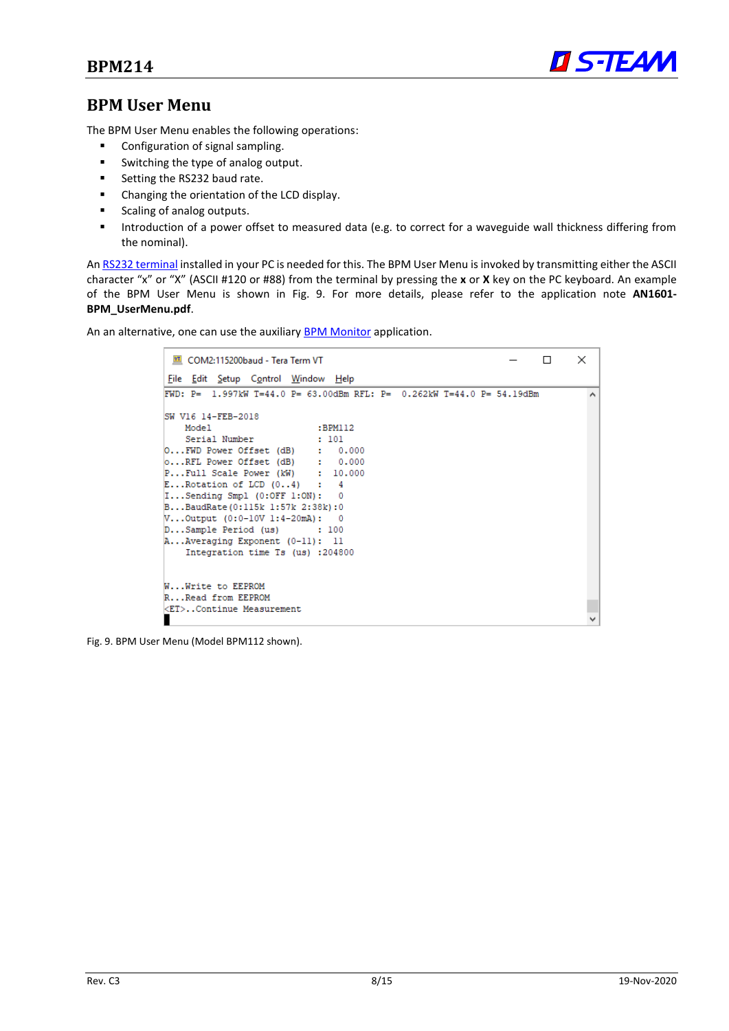

#### <span id="page-7-0"></span>**BPM User Menu**

The BPM User Menu enables the following operations:

- Configuration of signal sampling.
- Switching the type of analog output.
- Setting the RS232 baud rate.
- Changing the orientation of the LCD display.
- Scaling of analog outputs.
- Introduction of a power offset to measured data (e.g. to correct for a waveguide wall thickness differing from the nominal).

An [RS232 terminal](#page-6-3) installed in your PC is needed for this. The BPM User Menu is invoked by transmitting either the ASCII character "x" or "X" (ASCII #120 or #88) from the terminal by pressing the **x** or **X** key on the PC keyboard. An example of the BPM User Menu is shown in [Fig. 9.](#page-7-1) For more details, please refer to the application note **AN1601- BPM\_UserMenu.pdf**.

An an alternative, one can use the auxiliary [BPM Monitor](#page-8-0) application.

| ILI COM2:115200baud - Tera Term VT                                    | п | $\times$ |
|-----------------------------------------------------------------------|---|----------|
| File Edit Setup Control Window Help                                   |   |          |
| FWD: P= 1.997kW T=44.0 P= 63.00dBm RFL: P= 0.262kW T=44.0 P= 54.19dBm |   | $\wedge$ |
| ISW V16 14-FEB-2018                                                   |   |          |
| Model<br>:BPM112                                                      |   |          |
| Serial Number<br>$\cdot$ $101$                                        |   |          |
| 0FWD Power Offset (dB) : 0.000                                        |   |          |
| 0RFL Power Offset (dB) : 0.000                                        |   |          |
| $P$ Full Scale Power (kW) : 10.000                                    |   |          |
| $E$ Rotation of LCD $(04)$ : 4                                        |   |          |
| $I$ Sending Smpl $(0:OFF 1:ON): 0$                                    |   |          |
| BBaudRate(0:115k 1:57k 2:38k):0                                       |   |          |
| $V$ Output (0:0-10V 1:4-20mA): 0                                      |   |          |
| $D$ Sample Period (us) : 100                                          |   |          |
| AAveraging Exponent (0-11): 11                                        |   |          |
| Integration time Ts (us) :204800                                      |   |          |
| WWrite to EEPROM                                                      |   |          |
| RRead from EEPROM                                                     |   |          |
| <et>Continue Measurement</et>                                         |   |          |
|                                                                       |   |          |

<span id="page-7-1"></span>Fig. 9. BPM User Menu (Model BPM112 shown).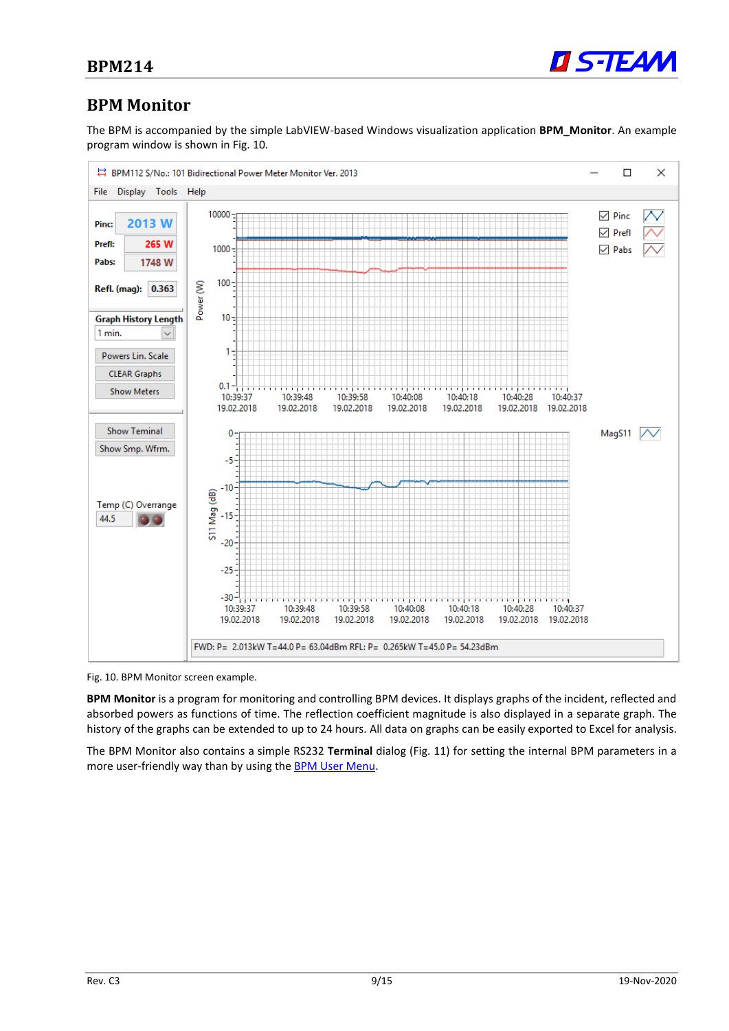

#### <span id="page-8-0"></span>**BPM Monitor**

The BPM is accompanied by the simple LabVIEW-based Windows visualization application **BPM\_Monitor**. An example program window is shown in [Fig. 10.](#page-8-1)



<span id="page-8-1"></span>Fig. 10. BPM Monitor screen example.

**BPM Monitor** is a program for monitoring and controlling BPM devices. It displays graphs of the incident, reflected and absorbed powers as functions of time. The reflection coefficient magnitude is also displayed in a separate graph. The history of the graphs can be extended to up to 24 hours. All data on graphs can be easily exported to Excel for analysis.

The BPM Monitor also contains a simple RS232 **Terminal** dialog [\(Fig. 11\)](#page-9-0) for setting the internal BPM parameters in a more user-friendly way than by using the **BPM User Menu**.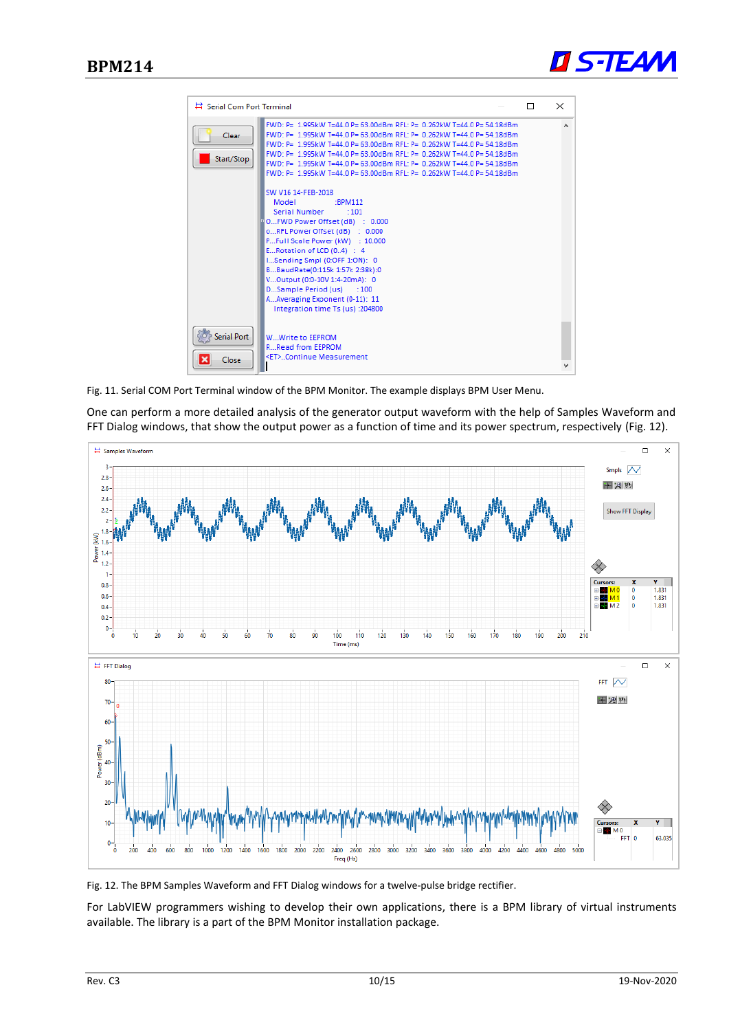



<span id="page-9-0"></span>Fig. 11. Serial COM Port Terminal window of the BPM Monitor. The example displays BPM User Menu.

One can perform a more detailed analysis of the generator output waveform with the help of Samples Waveform and FFT Dialog windows, that show the output power as a function of time and its power spectrum, respectively [\(Fig. 12\)](#page-9-1).



<span id="page-9-1"></span>Fig. 12. The BPM Samples Waveform and FFT Dialog windows for a twelve-pulse bridge rectifier.

For LabVIEW programmers wishing to develop their own applications, there is a BPM library of virtual instruments available. The library is a part of the BPM Monitor installation package.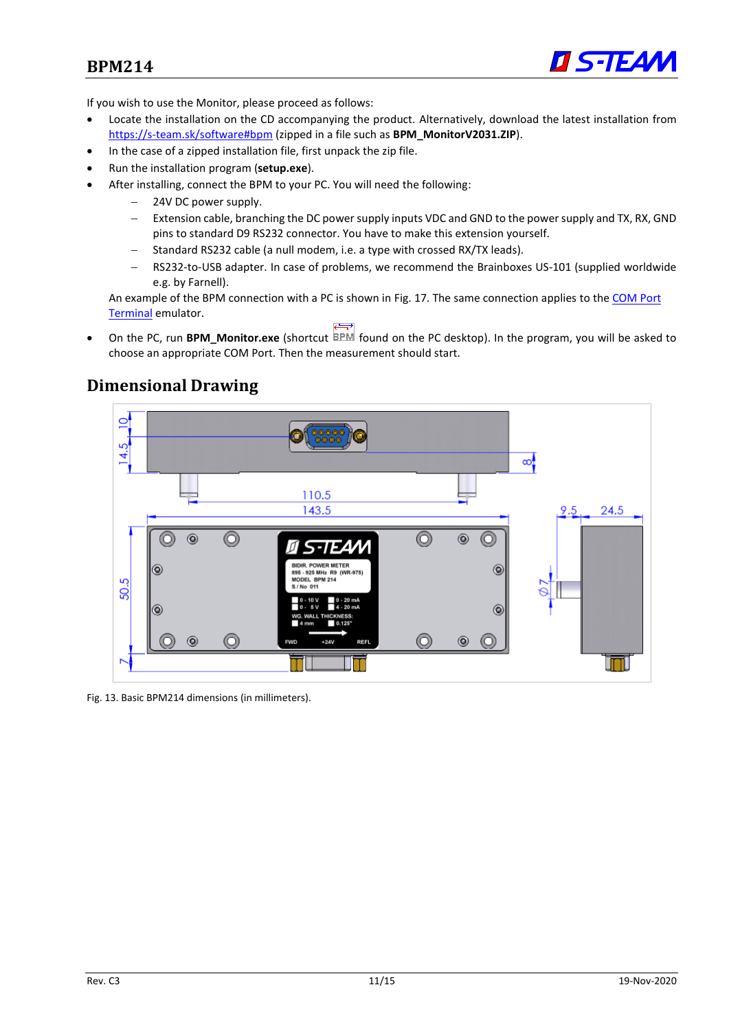

If you wish to use the Monitor, please proceed as follows:

- Locate the installation on the CD accompanying the product. Alternatively, download the latest installation from <https://s-team.sk/software#bpm> (zipped in a file such as **BPM\_MonitorV2031.ZIP**).
- In the case of a zipped installation file, first unpack the zip file.
- Run the installation program (**setup.exe**).
- After installing, connect the BPM to your PC. You will need the following:
	- − 24V DC power supply.
	- Extension cable, branching the DC power supply inputs VDC and GND to the power supply and TX, RX, GND pins to standard D9 RS232 connector. You have to make this extension yourself.
	- − Standard RS232 cable (a null modem, i.e. a type with crossed RX/TX leads).
	- − RS232-to-USB adapter. In case of problems, we recommend the Brainboxes US-101 (supplied worldwide e.g. by Farnell).

An example of the BPM connection with a PC is shown in [Fig. 17.](#page-14-1) The same connection applies to th[e COM Port](#page-6-3)  [Terminal](#page-6-3) emulator.

• On the PC, run **BPM\_Monitor.exe** (shortcut **EPM** found on the PC desktop). In the program, you will be asked to choose an appropriate COM Port. Then the measurement should start.

### <span id="page-10-0"></span>**Dimensional Drawing**



Fig. 13. Basic BPM214 dimensions (in millimeters).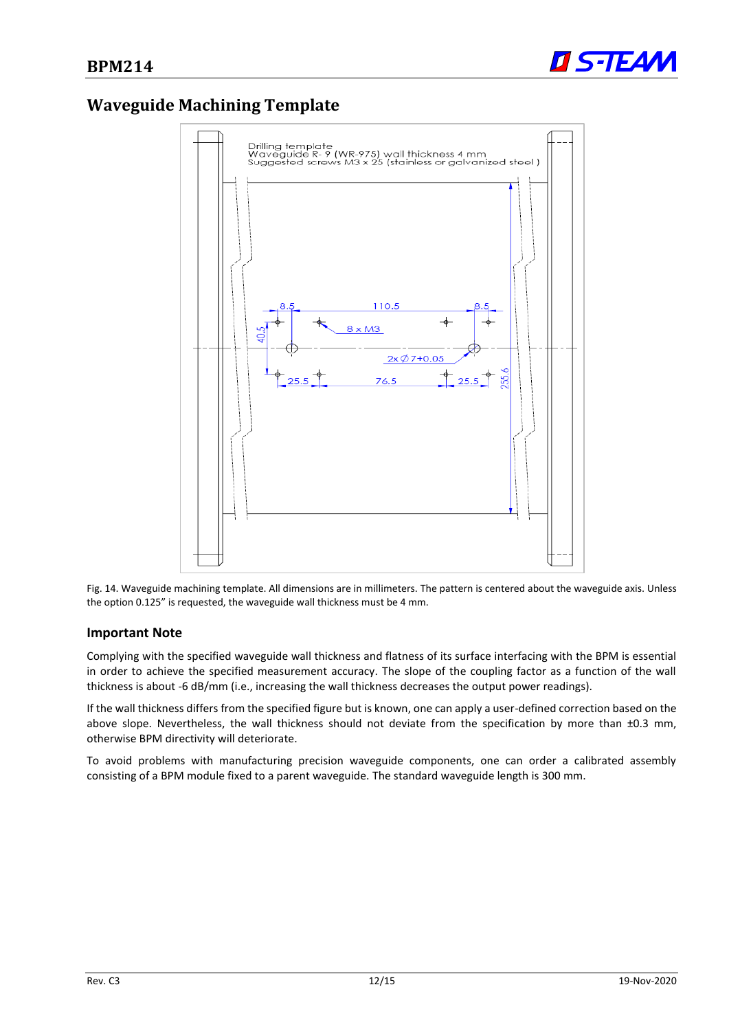

### <span id="page-11-0"></span>**Waveguide Machining Template**



Fig. 14. Waveguide machining template. All dimensions are in millimeters. The pattern is centered about the waveguide axis. Unless the option 0.125" is requested, the waveguide wall thickness must be 4 mm.

#### **Important Note**

Complying with the specified waveguide wall thickness and flatness of its surface interfacing with the BPM is essential in order to achieve the specified measurement accuracy. The slope of the coupling factor as a function of the wall thickness is about -6 dB/mm (i.e., increasing the wall thickness decreases the output power readings).

If the wall thickness differs from the specified figure but is known, one can apply a user-defined correction based on the above slope. Nevertheless, the wall thickness should not deviate from the specification by more than ±0.3 mm, otherwise BPM directivity will deteriorate.

To avoid problems with manufacturing precision waveguide components, one can order a calibrated assembly consisting of a BPM module fixed to a parent waveguide. The standard waveguide length is 300 mm.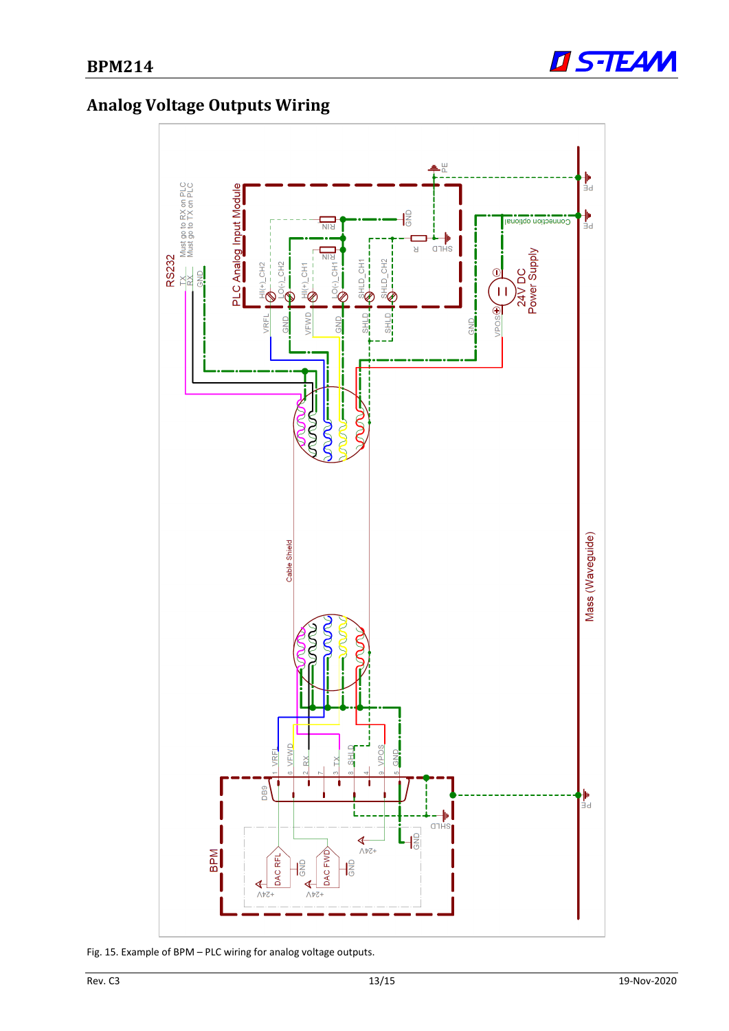

# <span id="page-12-0"></span>**Analog Voltage Outputs Wiring**



Fig. 15. Example of BPM – PLC wiring for analog voltage outputs.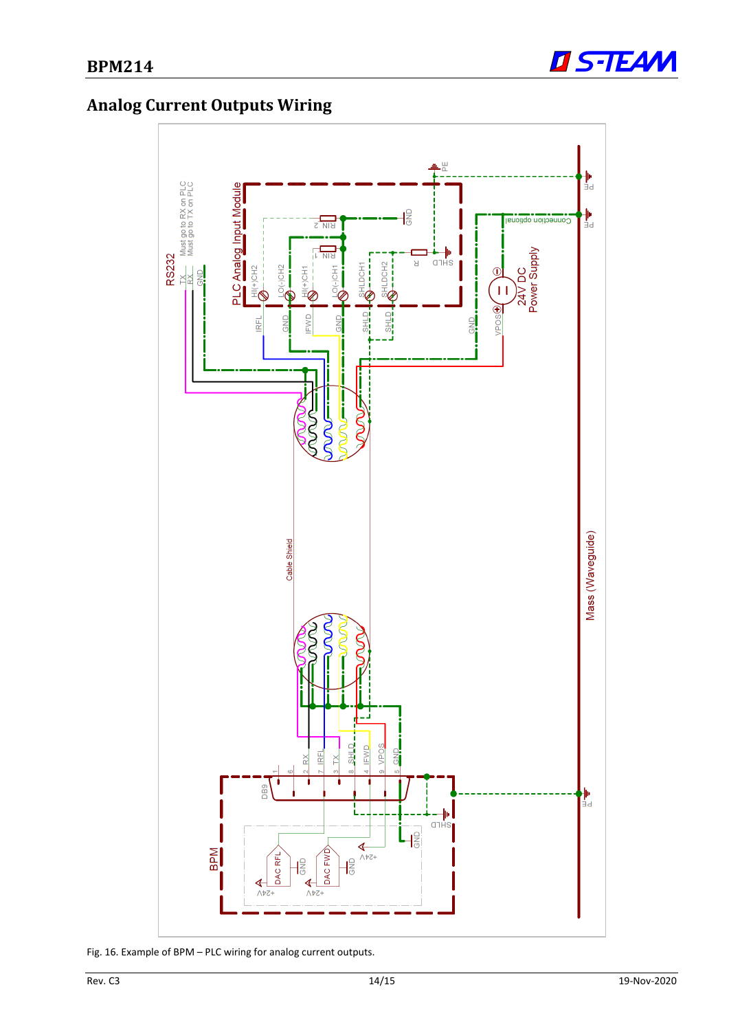

# <span id="page-13-0"></span>**Analog Current Outputs Wiring**



Fig. 16. Example of BPM – PLC wiring for analog current outputs.